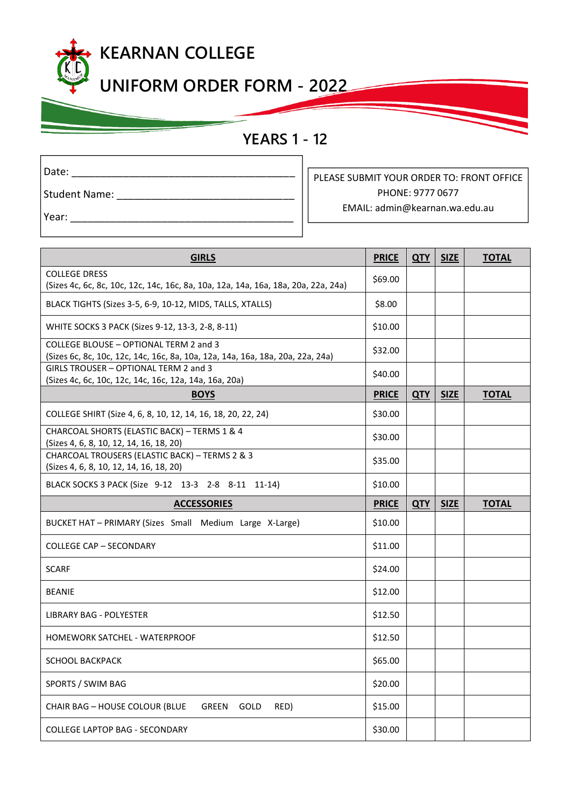## **KEARNAN COLLEGE**

**UNIFORM ORDER FORM - 2022**

## **YEARS 1 - 12**

**2022**

| Date:                         |  |  |
|-------------------------------|--|--|
| <b>Student Name:</b>          |  |  |
| $\mathbf{M}$ $=$ $\mathbf{M}$ |  |  |

PLEASE SUBMIT YOUR ORDER TO: FRONT OFFICE PHONE: 9777 0677 EMAIL: admin@kearnan.wa.edu.au

Year: \_

| <b>GIRLS</b>                                                                                                             | <b>PRICE</b> | <b>QTY</b> | <b>SIZE</b> | <b>TOTAL</b> |
|--------------------------------------------------------------------------------------------------------------------------|--------------|------------|-------------|--------------|
| <b>COLLEGE DRESS</b><br>(Sizes 4c, 6c, 8c, 10c, 12c, 14c, 16c, 8a, 10a, 12a, 14a, 16a, 18a, 20a, 22a, 24a)               | \$69.00      |            |             |              |
| BLACK TIGHTS (Sizes 3-5, 6-9, 10-12, MIDS, TALLS, XTALLS)                                                                | \$8.00       |            |             |              |
| WHITE SOCKS 3 PACK (Sizes 9-12, 13-3, 2-8, 8-11)                                                                         | \$10.00      |            |             |              |
| COLLEGE BLOUSE - OPTIONAL TERM 2 and 3<br>(Sizes 6c, 8c, 10c, 12c, 14c, 16c, 8a, 10a, 12a, 14a, 16a, 18a, 20a, 22a, 24a) | \$32.00      |            |             |              |
| GIRLS TROUSER - OPTIONAL TERM 2 and 3<br>(Sizes 4c, 6c, 10c, 12c, 14c, 16c, 12a, 14a, 16a, 20a)                          | \$40.00      |            |             |              |
| <b>BOYS</b>                                                                                                              | <b>PRICE</b> | <b>QTY</b> | <b>SIZE</b> | <b>TOTAL</b> |
| COLLEGE SHIRT (Size 4, 6, 8, 10, 12, 14, 16, 18, 20, 22, 24)                                                             | \$30.00      |            |             |              |
| CHARCOAL SHORTS (ELASTIC BACK) - TERMS 1 & 4<br>(Sizes 4, 6, 8, 10, 12, 14, 16, 18, 20)                                  | \$30.00      |            |             |              |
| CHARCOAL TROUSERS (ELASTIC BACK) - TERMS 2 & 3<br>(Sizes 4, 6, 8, 10, 12, 14, 16, 18, 20)                                | \$35.00      |            |             |              |
| BLACK SOCKS 3 PACK (Size 9-12 13-3 2-8 8-11 11-14)                                                                       | \$10.00      |            |             |              |
| <b>ACCESSORIES</b>                                                                                                       | <b>PRICE</b> | <b>QTY</b> | <b>SIZE</b> | <b>TOTAL</b> |
| BUCKET HAT - PRIMARY (Sizes Small Medium Large X-Large)                                                                  | \$10.00      |            |             |              |
|                                                                                                                          |              |            |             |              |
| <b>COLLEGE CAP - SECONDARY</b>                                                                                           | \$11.00      |            |             |              |
| <b>SCARF</b>                                                                                                             | \$24.00      |            |             |              |
| <b>BEANIE</b>                                                                                                            | \$12.00      |            |             |              |
| <b>LIBRARY BAG - POLYESTER</b>                                                                                           | \$12.50      |            |             |              |
| HOMEWORK SATCHEL - WATERPROOF                                                                                            | \$12.50      |            |             |              |
| SCHOOL BACKPACK                                                                                                          | \$65.00      |            |             |              |
| SPORTS / SWIM BAG                                                                                                        | \$20.00      |            |             |              |
| CHAIR BAG - HOUSE COLOUR (BLUE<br>GREEN GOLD<br>RED)                                                                     | \$15.00      |            |             |              |